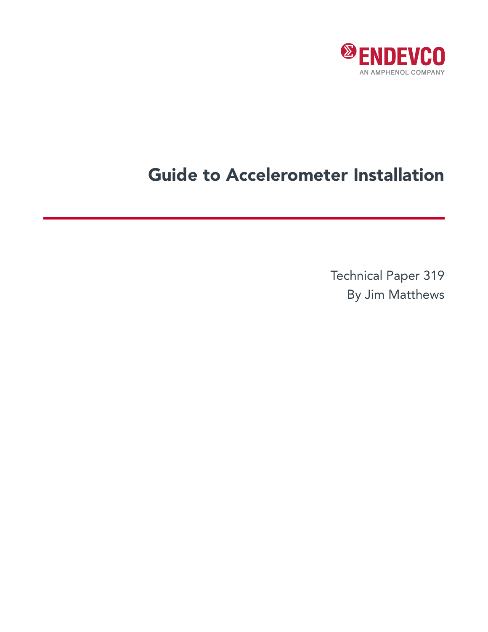

# Guide to Accelerometer Installation

Technical Paper 319 By Jim Matthews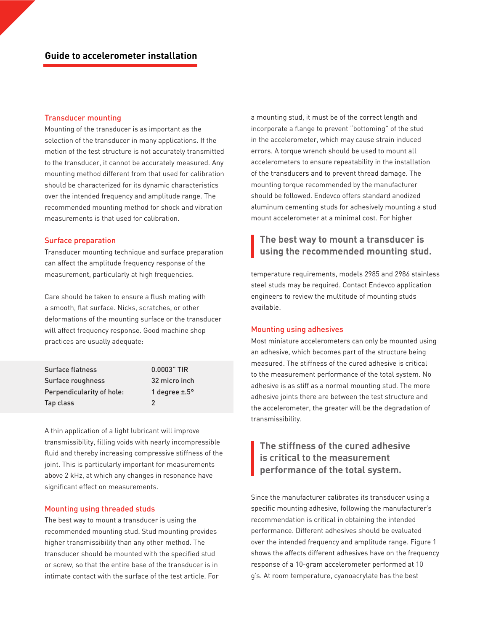## Transducer mounting

Mounting of the transducer is as important as the selection of the transducer in many applications. If the motion of the test structure is not accurately transmitted to the transducer, it cannot be accurately measured. Any mounting method different from that used for calibration should be characterized for its dynamic characteristics over the intended frequency and amplitude range. The recommended mounting method for shock and vibration measurements is that used for calibration.

## Surface preparation

Transducer mounting technique and surface preparation can affect the amplitude frequency response of the measurement, particularly at high frequencies.

Care should be taken to ensure a flush mating with a smooth, flat surface. Nicks, scratches, or other deformations of the mounting surface or the transducer will affect frequency response. Good machine shop practices are usually adequate:

| <b>Surface flatness</b>   | $0.0003"$ TIR               |
|---------------------------|-----------------------------|
| Surface roughness         | 32 micro inch               |
| Perpendicularity of hole: | 1 degree $\pm$ .5 $\degree$ |
| Tap class                 | 2                           |

A thin application of a light lubricant will improve transmissibility, filling voids with nearly incompressible fluid and thereby increasing compressive stiffness of the joint. This is particularly important for measurements above 2 kHz, at which any changes in resonance have significant effect on measurements.

## Mounting using threaded studs

The best way to mount a transducer is using the recommended mounting stud. Stud mounting provides higher transmissibility than any other method. The transducer should be mounted with the specified stud or screw, so that the entire base of the transducer is in intimate contact with the surface of the test article. For a mounting stud, it must be of the correct length and incorporate a flange to prevent "bottoming" of the stud in the accelerometer, which may cause strain induced errors. A torque wrench should be used to mount all accelerometers to ensure repeatability in the installation of the transducers and to prevent thread damage. The mounting torque recommended by the manufacturer should be followed. Endevco offers standard anodized aluminum cementing studs for adhesively mounting a stud mount accelerometer at a minimal cost. For higher

## **The best way to mount a transducer is using the recommended mounting stud.**

temperature requirements, models 2985 and 2986 stainless steel studs may be required. Contact Endevco application engineers to review the multitude of mounting studs available.

#### Mounting using adhesives

Most miniature accelerometers can only be mounted using an adhesive, which becomes part of the structure being measured. The stiffness of the cured adhesive is critical to the measurement performance of the total system. No adhesive is as stiff as a normal mounting stud. The more adhesive joints there are between the test structure and the accelerometer, the greater will be the degradation of transmissibility.

# **The stiffness of the cured adhesive is critical to the measurement performance of the total system.**

Since the manufacturer calibrates its transducer using a specific mounting adhesive, following the manufacturer's recommendation is critical in obtaining the intended performance. Different adhesives should be evaluated over the intended frequency and amplitude range. Figure 1 shows the affects different adhesives have on the frequency response of a 10-gram accelerometer performed at 10 g's. At room temperature, cyanoacrylate has the best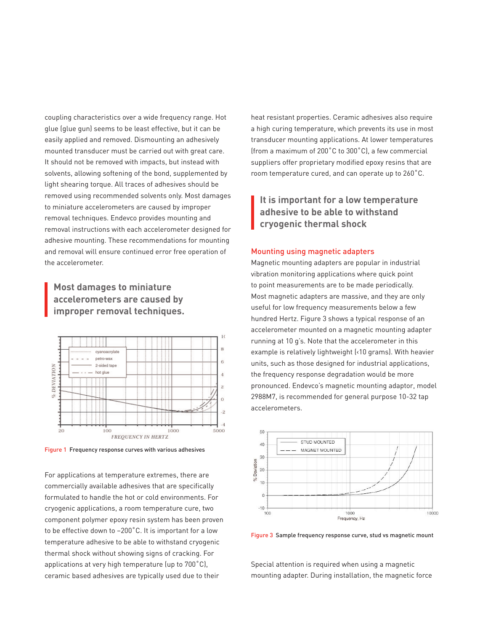coupling characteristics over a wide frequency range. Hot glue (glue gun) seems to be least effective, but it can be easily applied and removed. Dismounting an adhesively mounted transducer must be carried out with great care. It should not be removed with impacts, but instead with solvents, allowing softening of the bond, supplemented by light shearing torque. All traces of adhesives should be removed using recommended solvents only. Most damages to miniature accelerometers are caused by improper removal techniques. Endevco provides mounting and removal instructions with each accelerometer designed for adhesive mounting. These recommendations for mounting and removal will ensure continued error free operation of the accelerometer.

## **Most damages to miniature accelerometers are caused by improper removal techniques.**



Figure 1 Frequency response curves with various adhesives

For applications at temperature extremes, there are commercially available adhesives that are specifically formulated to handle the hot or cold environments. For cryogenic applications, a room temperature cure, two component polymer epoxy resin system has been proven to be effective down to –200˚C. It is important for a low temperature adhesive to be able to withstand cryogenic thermal shock without showing signs of cracking. For applications at very high temperature (up to 700˚C), ceramic based adhesives are typically used due to their

heat resistant properties. Ceramic adhesives also require a high curing temperature, which prevents its use in most transducer mounting applications. At lower temperatures (from a maximum of 200˚C to 300˚C), a few commercial suppliers offer proprietary modified epoxy resins that are room temperature cured, and can operate up to 260˚C.

**It is important for a low temperature adhesive to be able to withstand cryogenic thermal shock**

## Mounting using magnetic adapters

Magnetic mounting adapters are popular in industrial vibration monitoring applications where quick point to point measurements are to be made periodically. Most magnetic adapters are massive, and they are only useful for low frequency measurements below a few hundred Hertz. Figure 3 shows a typical response of an accelerometer mounted on a magnetic mounting adapter running at 10 g's. Note that the accelerometer in this example is relatively lightweight (<10 grams). With heavier units, such as those designed for industrial applications, the frequency response degradation would be more pronounced. Endevco's magnetic mounting adaptor, model 2988M7, is recommended for general purpose 10-32 tap accelerometers.



Figure 3 Sample frequency response curve, stud vs magnetic mount

Special attention is required when using a magnetic mounting adapter. During installation, the magnetic force